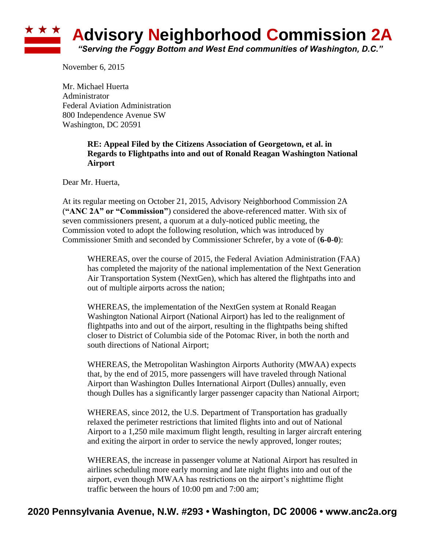### **\* \* \* Advisory Neighborhood Commission 2A** *"Serving the Foggy Bottom and West End communities of Washington, D.C."*

November 6, 2015

Mr. Michael Huerta Administrator Federal Aviation Administration 800 Independence Avenue SW Washington, DC 20591

#### **RE: Appeal Filed by the Citizens Association of Georgetown, et al. in Regards to Flightpaths into and out of Ronald Reagan Washington National Airport**

Dear Mr. Huerta,

At its regular meeting on October 21, 2015, Advisory Neighborhood Commission 2A (**"ANC 2A" or "Commission"**) considered the above-referenced matter. With six of seven commissioners present, a quorum at a duly-noticed public meeting, the Commission voted to adopt the following resolution, which was introduced by Commissioner Smith and seconded by Commissioner Schrefer, by a vote of (**6-0-0**):

WHEREAS, over the course of 2015, the Federal Aviation Administration (FAA) has completed the majority of the national implementation of the Next Generation Air Transportation System (NextGen), which has altered the flightpaths into and out of multiple airports across the nation;

WHEREAS, the implementation of the NextGen system at Ronald Reagan Washington National Airport (National Airport) has led to the realignment of flightpaths into and out of the airport, resulting in the flightpaths being shifted closer to District of Columbia side of the Potomac River, in both the north and south directions of National Airport;

WHEREAS, the Metropolitan Washington Airports Authority (MWAA) expects that, by the end of 2015, more passengers will have traveled through National Airport than Washington Dulles International Airport (Dulles) annually, even though Dulles has a significantly larger passenger capacity than National Airport;

WHEREAS, since 2012, the U.S. Department of Transportation has gradually relaxed the perimeter restrictions that limited flights into and out of National Airport to a 1,250 mile maximum flight length, resulting in larger aircraft entering and exiting the airport in order to service the newly approved, longer routes;

WHEREAS, the increase in passenger volume at National Airport has resulted in airlines scheduling more early morning and late night flights into and out of the airport, even though MWAA has restrictions on the airport's nighttime flight traffic between the hours of 10:00 pm and 7:00 am;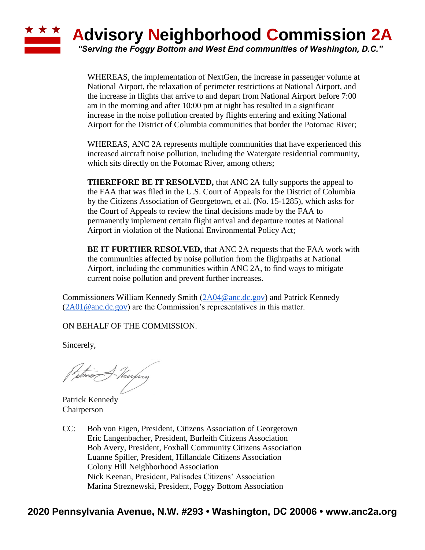### **\* \* \* Advisory Neighborhood Commission 2A** *"Serving the Foggy Bottom and West End communities of Washington, D.C."*

WHEREAS, the implementation of NextGen, the increase in passenger volume at National Airport, the relaxation of perimeter restrictions at National Airport, and the increase in flights that arrive to and depart from National Airport before 7:00 am in the morning and after 10:00 pm at night has resulted in a significant increase in the noise pollution created by flights entering and exiting National Airport for the District of Columbia communities that border the Potomac River;

WHEREAS, ANC 2A represents multiple communities that have experienced this increased aircraft noise pollution, including the Watergate residential community, which sits directly on the Potomac River, among others;

**THEREFORE BE IT RESOLVED,** that ANC 2A fully supports the appeal to the FAA that was filed in the U.S. Court of Appeals for the District of Columbia by the Citizens Association of Georgetown, et al. (No. 15-1285), which asks for the Court of Appeals to review the final decisions made by the FAA to permanently implement certain flight arrival and departure routes at National Airport in violation of the National Environmental Policy Act;

**BE IT FURTHER RESOLVED,** that ANC 2A requests that the FAA work with the communities affected by noise pollution from the flightpaths at National Airport, including the communities within ANC 2A, to find ways to mitigate current noise pollution and prevent further increases.

Commissioners William Kennedy Smith [\(2A04@anc.dc.gov\)](mailto:2A04@anc.dc.gov) and Patrick Kennedy  $(2A01@anc.de.gov)$  are the Commission's representatives in this matter.

ON BEHALF OF THE COMMISSION.

Sincerely,

Puthin Murphy

Patrick Kennedy Chairperson

CC: Bob von Eigen, President, Citizens Association of Georgetown Eric Langenbacher, President, Burleith Citizens Association Bob Avery, President, Foxhall Community Citizens Association Luanne Spiller, President, Hillandale Citizens Association Colony Hill Neighborhood Association Nick Keenan, President, Palisades Citizens' Association Marina Streznewski, President, Foggy Bottom Association

## **2020 Pennsylvania Avenue, N.W. #293 • Washington, DC 20006 • www.anc2a.org**